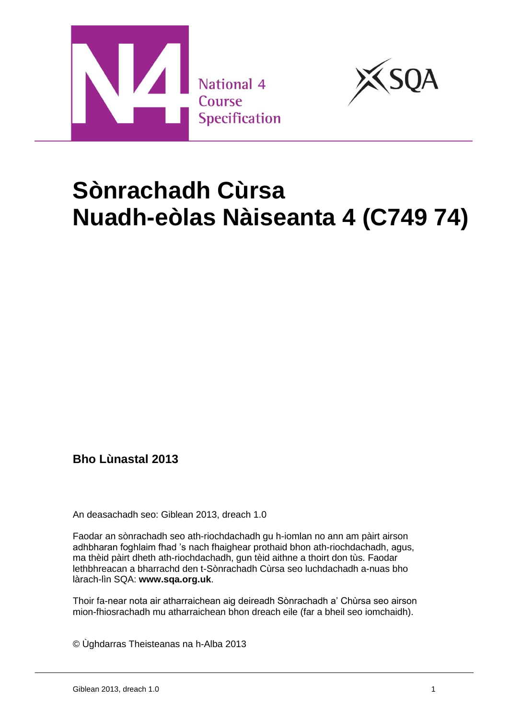



# **Sònrachadh Cùrsa Nuadh-eòlas Nàiseanta 4 (C749 74)**

## **Bho Lùnastal 2013**

An deasachadh seo: Giblean 2013, dreach 1.0

Faodar an sònrachadh seo ath-riochdachadh gu h-iomlan no ann am pàirt airson adhbharan foghlaim fhad 's nach fhaighear prothaid bhon ath-riochdachadh, agus, ma thèid pàirt dheth ath-riochdachadh, gun tèid aithne a thoirt don tùs. Faodar lethbhreacan a bharrachd den t-Sònrachadh Cùrsa seo luchdachadh a-nuas bho làrach-lìn SQA: **[www.sqa.org.uk](http://www.sqa.org.uk/)**.

Thoir fa-near nota air atharraichean aig deireadh Sònrachadh a' Chùrsa seo airson mion-fhiosrachadh mu atharraichean bhon dreach eile (far a bheil seo iomchaidh).

© Ùghdarras Theisteanas na h-Alba 2013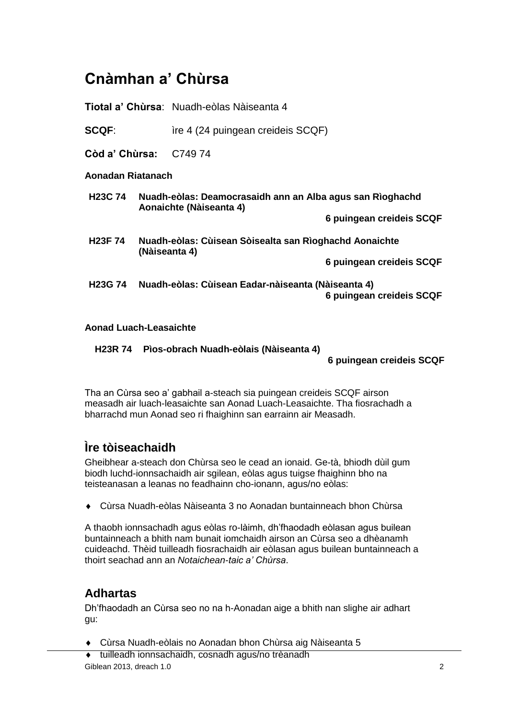# **Cnàmhan a' Chùrsa**

**Tiotal a' Chùrsa**: Nuadh-eòlas Nàiseanta 4

**SCQF:** ire 4 (24 puingean creideis SCQF)

**Còd a' Chùrsa:** C749 74

#### **Aonadan Riatanach**

| H <sub>23</sub> C 74 | Nuadh-eòlas: Deamocrasaidh ann an Alba agus san Rìoghachd<br>Aonaichte (Nàiseanta 4) |
|----------------------|--------------------------------------------------------------------------------------|
|                      | 6 puingean creideis SCQF                                                             |
| <b>H23F74</b>        | Nuadh-eòlas: Cùisean Sòisealta san Rìoghachd Aonaichte<br>(Nàiseanta 4)              |
|                      | 6 puingean creideis SCQF                                                             |
| <b>H23G 74</b>       | Nuadh-eòlas: Cùisean Eadar-nàiseanta (Nàiseanta 4)<br>6 puingean creideis SCQF       |

#### **Aonad Luach-Leasaichte**

**H23R 74 Pìos-obrach Nuadh-eòlais (Nàiseanta 4)**

**6 puingean creideis SCQF**

Tha an Cùrsa seo a' gabhail a-steach sia puingean creideis SCQF airson measadh air luach-leasaichte san Aonad Luach-Leasaichte. Tha fiosrachadh a bharrachd mun Aonad seo ri fhaighinn san earrainn air Measadh.

## **Ìre tòiseachaidh**

Gheibhear a-steach don Chùrsa seo le cead an ionaid. Ge-tà, bhiodh dùil gum biodh luchd-ionnsachaidh air sgilean, eòlas agus tuigse fhaighinn bho na teisteanasan a leanas no feadhainn cho-ionann, agus/no eòlas:

Cùrsa Nuadh-eòlas Nàiseanta 3 no Aonadan buntainneach bhon Chùrsa

A thaobh ionnsachadh agus eòlas ro-làimh, dh'fhaodadh eòlasan agus builean buntainneach a bhith nam bunait iomchaidh airson an Cùrsa seo a dhèanamh cuideachd. Thèid tuilleadh fiosrachaidh air eòlasan agus builean buntainneach a thoirt seachad ann an *Notaichean-taic a' Chùrsa*.

### **Adhartas**

Dh'fhaodadh an Cùrsa seo no na h-Aonadan aige a bhith nan slighe air adhart gu:

- Cùrsa Nuadh-eòlais no Aonadan bhon Chùrsa aig Nàiseanta 5
- Giblean 2013, dreach 1.0 2 tuilleadh ionnsachaidh, cosnadh agus/no trèanadh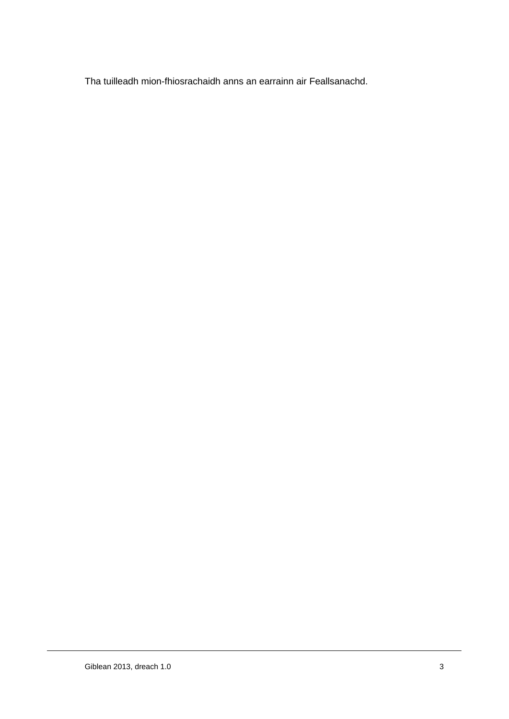Tha tuilleadh mion-fhiosrachaidh anns an earrainn air Feallsanachd.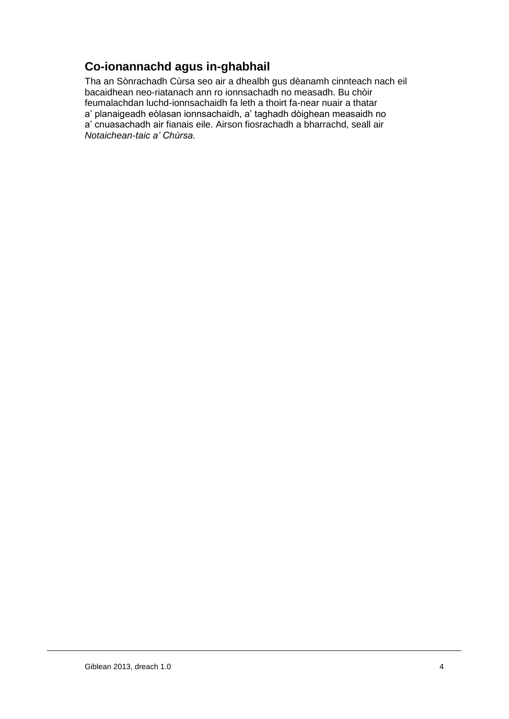# **Co-ionannachd agus in-ghabhail**

Tha an Sònrachadh Cùrsa seo air a dhealbh gus dèanamh cinnteach nach eil bacaidhean neo-riatanach ann ro ionnsachadh no measadh. Bu chòir feumalachdan luchd-ionnsachaidh fa leth a thoirt fa-near nuair a thatar a' planaigeadh eòlasan ionnsachaidh, a' taghadh dòighean measaidh no a' cnuasachadh air fianais eile. Airson fiosrachadh a bharrachd, seall air *Notaichean-taic a' Chùrsa.*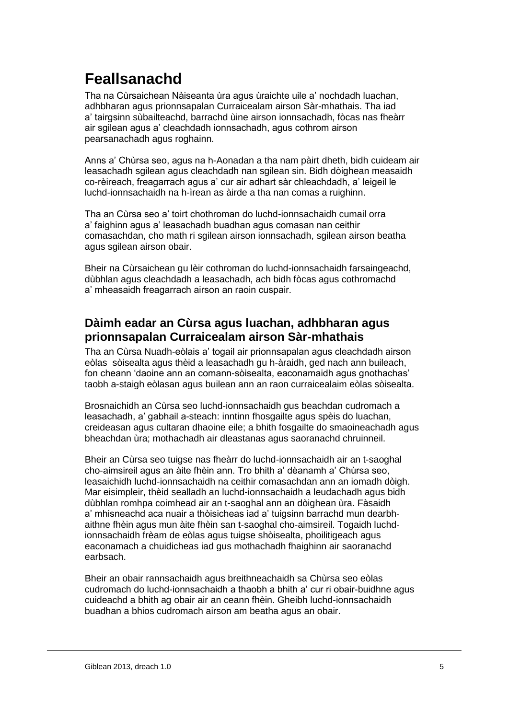# **Feallsanachd**

Tha na Cùrsaichean Nàiseanta ùra agus ùraichte uile a' nochdadh luachan, adhbharan agus prionnsapalan Curraicealam airson Sàr-mhathais. Tha iad a' tairgsinn sùbailteachd, barrachd ùine airson ionnsachadh, fòcas nas fheàrr air sgilean agus a' cleachdadh ionnsachadh, agus cothrom airson pearsanachadh agus roghainn.

Anns a' Chùrsa seo, agus na h-Aonadan a tha nam pàirt dheth, bidh cuideam air leasachadh sgilean agus cleachdadh nan sgilean sin. Bidh dòighean measaidh co-rèireach, freagarrach agus a' cur air adhart sàr chleachdadh, a' leigeil le luchd-ionnsachaidh na h-ìrean as àirde a tha nan comas a ruighinn.

Tha an Cùrsa seo a' toirt chothroman do luchd-ionnsachaidh cumail orra a' faighinn agus a' leasachadh buadhan agus comasan nan ceithir comasachdan, cho math ri sgilean airson ionnsachadh, sgilean airson beatha agus sgilean airson obair.

Bheir na Cùrsaichean gu lèir cothroman do luchd-ionnsachaidh farsaingeachd, dùbhlan agus cleachdadh a leasachadh, ach bidh fòcas agus cothromachd a' mheasaidh freagarrach airson an raoin cuspair.

### **Dàimh eadar an Cùrsa agus luachan, adhbharan agus prionnsapalan Curraicealam airson Sàr-mhathais**

Tha an Cùrsa Nuadh-eòlais a' togail air prionnsapalan agus cleachdadh airson eòlas sòisealta agus thèid a leasachadh gu h-àraidh, ged nach ann buileach, fon cheann 'daoine ann an comann-sòisealta, eaconamaidh agus gnothachas' taobh a-staigh eòlasan agus builean ann an raon curraicealaim eòlas sòisealta.

Brosnaichidh an Cùrsa seo luchd-ionnsachaidh gus beachdan cudromach a leasachadh, a' gabhail a-steach: inntinn fhosgailte agus spèis do luachan, creideasan agus cultaran dhaoine eile; a bhith fosgailte do smaoineachadh agus bheachdan ùra; mothachadh air dleastanas agus saoranachd chruinneil.

Bheir an Cùrsa seo tuigse nas fheàrr do luchd-ionnsachaidh air an t-saoghal cho-aimsireil agus an àite fhèin ann. Tro bhith a' dèanamh a' Chùrsa seo, leasaichidh luchd-ionnsachaidh na ceithir comasachdan ann an iomadh dòigh. Mar eisimpleir, thèid sealladh an luchd-ionnsachaidh a leudachadh agus bidh dùbhlan romhpa coimhead air an t-saoghal ann an dòighean ùra. Fàsaidh a' mhisneachd aca nuair a thòisicheas iad a' tuigsinn barrachd mun dearbhaithne fhèin agus mun àite fhèin san t-saoghal cho-aimsireil. Togaidh luchdionnsachaidh frèam de eòlas agus tuigse shòisealta, phoilitigeach agus eaconamach a chuidicheas iad gus mothachadh fhaighinn air saoranachd earbsach.

Bheir an obair rannsachaidh agus breithneachaidh sa Chùrsa seo eòlas cudromach do luchd-ionnsachaidh a thaobh a bhith a' cur ri obair-buidhne agus cuideachd a bhith ag obair air an ceann fhèin. Gheibh luchd-ionnsachaidh buadhan a bhios cudromach airson am beatha agus an obair.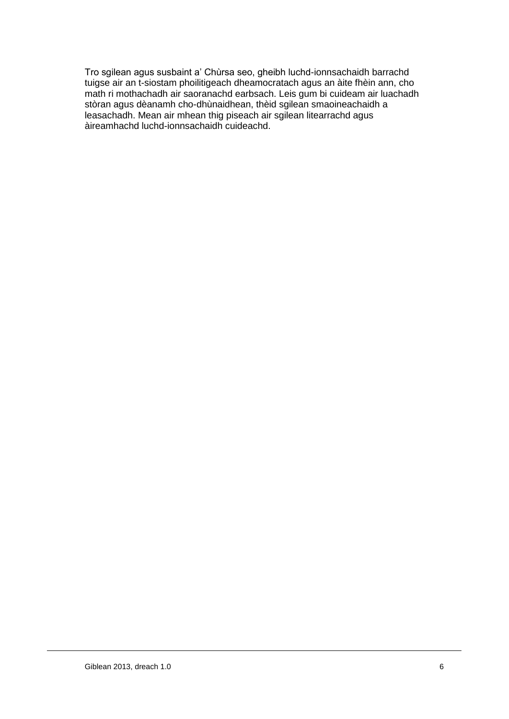Tro sgilean agus susbaint a' Chùrsa seo, gheibh luchd-ionnsachaidh barrachd tuigse air an t-siostam phoilitigeach dheamocratach agus an àite fhèin ann, cho math ri mothachadh air saoranachd earbsach. Leis gum bi cuideam air luachadh stòran agus dèanamh cho-dhùnaidhean, thèid sgilean smaoineachaidh a leasachadh. Mean air mhean thig piseach air sgilean litearrachd agus àireamhachd luchd-ionnsachaidh cuideachd.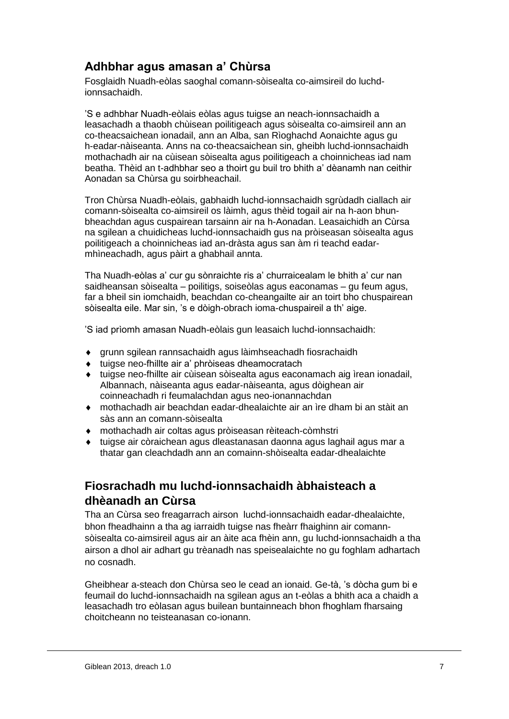### **Adhbhar agus amasan a' Chùrsa**

Fosglaidh Nuadh-eòlas saoghal comann-sòisealta co-aimsireil do luchdionnsachaidh.

'S e adhbhar Nuadh-eòlais eòlas agus tuigse an neach-ionnsachaidh a leasachadh a thaobh chùisean poilitigeach agus sòisealta co-aimsireil ann an co-theacsaichean ionadail, ann an Alba, san Rìoghachd Aonaichte agus gu h-eadar-nàiseanta. Anns na co-theacsaichean sin, gheibh luchd-ionnsachaidh mothachadh air na cùisean sòisealta agus poilitigeach a choinnicheas iad nam beatha. Thèid an t-adhbhar seo a thoirt gu buil tro bhith a' dèanamh nan ceithir Aonadan sa Chùrsa gu soirbheachail.

Tron Chùrsa Nuadh-eòlais, gabhaidh luchd-ionnsachaidh sgrùdadh ciallach air comann-sòisealta co-aimsireil os làimh, agus thèid togail air na h-aon bhunbheachdan agus cuspairean tarsainn air na h-Aonadan. Leasaichidh an Cùrsa na sgilean a chuidicheas luchd-ionnsachaidh gus na pròiseasan sòisealta agus poilitigeach a choinnicheas iad an-dràsta agus san àm ri teachd eadarmhìneachadh, agus pàirt a ghabhail annta.

Tha Nuadh-eòlas a' cur gu sònraichte ris a' churraicealam le bhith a' cur nan saidheansan sòisealta – poilitigs, soiseòlas agus eaconamas – gu feum agus, far a bheil sin iomchaidh, beachdan co-cheangailte air an toirt bho chuspairean sòisealta eile. Mar sin, 's e dòigh-obrach ioma-chuspaireil a th' aige.

'S iad prìomh amasan Nuadh-eòlais gun leasaich luchd-ionnsachaidh:

- grunn sgilean rannsachaidh agus làimhseachadh fiosrachaidh
- tuigse neo-fhillte air a' phròiseas dheamocratach
- tuigse neo-fhillte air cùisean sòisealta agus eaconamach aig ìrean ionadail, Albannach, nàiseanta agus eadar-nàiseanta, agus dòighean air coinneachadh ri feumalachdan agus neo-ionannachdan
- mothachadh air beachdan eadar-dhealaichte air an ìre dham bi an stàit an sàs ann an comann-sòisealta
- mothachadh air coltas agus pròiseasan rèiteach-còmhstri
- tuigse air còraichean agus dleastanasan daonna agus laghail agus mar a thatar gan cleachdadh ann an comainn-shòisealta eadar-dhealaichte

# **Fiosrachadh mu luchd-ionnsachaidh àbhaisteach a dhèanadh an Cùrsa**

Tha an Cùrsa seo freagarrach airson luchd-ionnsachaidh eadar-dhealaichte, bhon fheadhainn a tha ag iarraidh tuigse nas fheàrr fhaighinn air comannsòisealta co-aimsireil agus air an àite aca fhèin ann, gu luchd-ionnsachaidh a tha airson a dhol air adhart gu trèanadh nas speisealaichte no gu foghlam adhartach no cosnadh.

Gheibhear a-steach don Chùrsa seo le cead an ionaid. Ge-tà, 's dòcha gum bi e feumail do luchd-ionnsachaidh na sgilean agus an t-eòlas a bhith aca a chaidh a leasachadh tro eòlasan agus builean buntainneach bhon fhoghlam fharsaing choitcheann no teisteanasan co-ionann.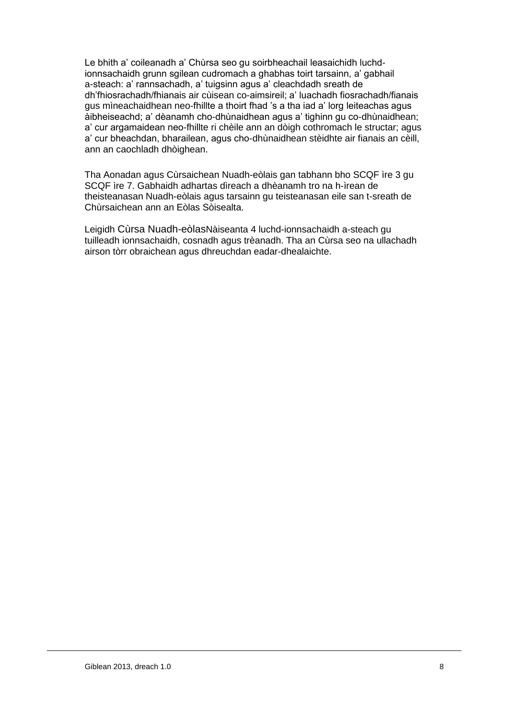Le bhith a' coileanadh a' Chùrsa seo gu soirbheachail leasaichidh luchdionnsachaidh grunn sgilean cudromach a ghabhas toirt tarsainn, a' gabhail a-steach: a' rannsachadh, a' tuigsinn agus a' cleachdadh sreath de dh'fhiosrachadh/fhianais air cùisean co-aimsireil; a' luachadh fiosrachadh/fianais gus mìneachaidhean neo-fhillte a thoirt fhad 's a tha iad a' lorg leiteachas agus àibheiseachd; a' dèanamh cho-dhùnaidhean agus a' tighinn gu co-dhùnaidhean; a' cur argamaidean neo-fhillte ri chèile ann an dòigh cothromach le structar; agus a' cur bheachdan, bharailean, agus cho-dhùnaidhean stèidhte air fianais an cèill, ann an caochladh dhòighean.

Tha Aonadan agus Cùrsaichean Nuadh-eòlais gan tabhann bho SCQF ìre 3 gu SCQF ìre 7. Gabhaidh adhartas dìreach a dhèanamh tro na h-ìrean de theisteanasan Nuadh-eòlais agus tarsainn gu teisteanasan eile san t-sreath de Chùrsaichean ann an Eòlas Sòisealta.

Leigidh Cùrsa Nuadh-eòlasNàiseanta 4 luchd-ionnsachaidh a-steach gu tuilleadh ionnsachaidh, cosnadh agus trèanadh. Tha an Cùrsa seo na ullachadh airson tòrr obraichean agus dhreuchdan eadar-dhealaichte.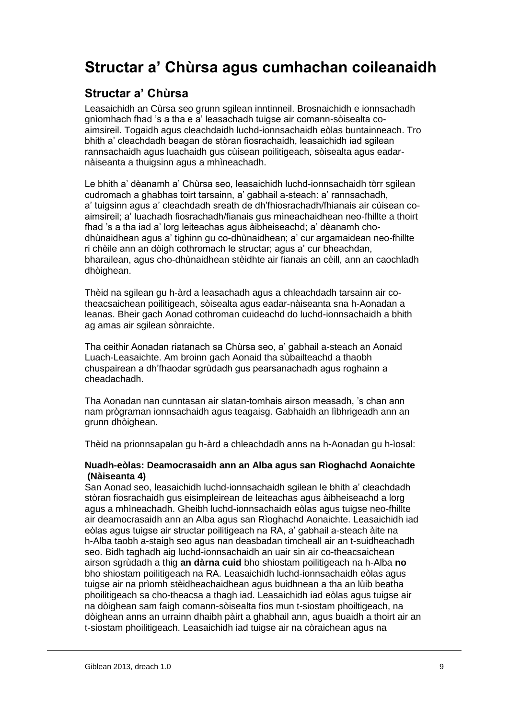# **Structar a' Chùrsa agus cumhachan coileanaidh**

## **Structar a' Chùrsa**

Leasaichidh an Cùrsa seo grunn sgilean inntinneil. Brosnaichidh e ionnsachadh gnìomhach fhad 's a tha e a' leasachadh tuigse air comann-sòisealta coaimsireil. Togaidh agus cleachdaidh luchd-ionnsachaidh eòlas buntainneach. Tro bhith a' cleachdadh beagan de stòran fiosrachaidh, leasaichidh iad sgilean rannsachaidh agus luachaidh gus cùisean poilitigeach, sòisealta agus eadarnàiseanta a thuigsinn agus a mhìneachadh.

Le bhith a' dèanamh a' Chùrsa seo, leasaichidh luchd-ionnsachaidh tòrr sgilean cudromach a ghabhas toirt tarsainn, a' gabhail a-steach: a' rannsachadh, a' tuigsinn agus a' cleachdadh sreath de dh'fhiosrachadh/fhianais air cùisean coaimsireil; a' luachadh fiosrachadh/fianais gus mìneachaidhean neo-fhillte a thoirt fhad 's a tha iad a' lorg leiteachas agus àibheiseachd; a' dèanamh chodhùnaidhean agus a' tighinn gu co-dhùnaidhean; a' cur argamaidean neo-fhillte ri chèile ann an dòigh cothromach le structar; agus a' cur bheachdan, bharailean, agus cho-dhùnaidhean stèidhte air fianais an cèill, ann an caochladh dhòighean.

Thèid na sgilean gu h-àrd a leasachadh agus a chleachdadh tarsainn air cotheacsaichean poilitigeach, sòisealta agus eadar-nàiseanta sna h-Aonadan a leanas. Bheir gach Aonad cothroman cuideachd do luchd-ionnsachaidh a bhith ag amas air sgilean sònraichte.

Tha ceithir Aonadan riatanach sa Chùrsa seo, a' gabhail a-steach an Aonaid Luach-Leasaichte. Am broinn gach Aonaid tha sùbailteachd a thaobh chuspairean a dh'fhaodar sgrùdadh gus pearsanachadh agus roghainn a cheadachadh.

Tha Aonadan nan cunntasan air slatan-tomhais airson measadh, 's chan ann nam prògraman ionnsachaidh agus teagaisg. Gabhaidh an lìbhrigeadh ann an grunn dhòighean.

Thèid na prionnsapalan gu h-àrd a chleachdadh anns na h-Aonadan gu h-ìosal:

#### **Nuadh-eòlas: Deamocrasaidh ann an Alba agus san Rìoghachd Aonaichte (Nàiseanta 4)**

San Aonad seo, leasaichidh luchd-ionnsachaidh sgilean le bhith a' cleachdadh stòran fiosrachaidh gus eisimpleirean de leiteachas agus àibheiseachd a lorg agus a mhìneachadh. Gheibh luchd-ionnsachaidh eòlas agus tuigse neo-fhillte air deamocrasaidh ann an Alba agus san Rìoghachd Aonaichte. Leasaichidh iad eòlas agus tuigse air structar poilitigeach na RA, a' gabhail a-steach àite na h-Alba taobh a-staigh seo agus nan deasbadan timcheall air an t-suidheachadh seo. Bidh taghadh aig luchd-ionnsachaidh an uair sin air co-theacsaichean airson sgrùdadh a thig **an dàrna cuid** bho shiostam poilitigeach na h-Alba **no**  bho shiostam poilitigeach na RA. Leasaichidh luchd-ionnsachaidh eòlas agus tuigse air na prìomh stèidheachaidhean agus buidhnean a tha an lùib beatha phoilitigeach sa cho-theacsa a thagh iad. Leasaichidh iad eòlas agus tuigse air na dòighean sam faigh comann-sòisealta fios mun t-siostam phoiltigeach, na dòighean anns an urrainn dhaibh pàirt a ghabhail ann, agus buaidh a thoirt air an t-siostam phoilitigeach. Leasaichidh iad tuigse air na còraichean agus na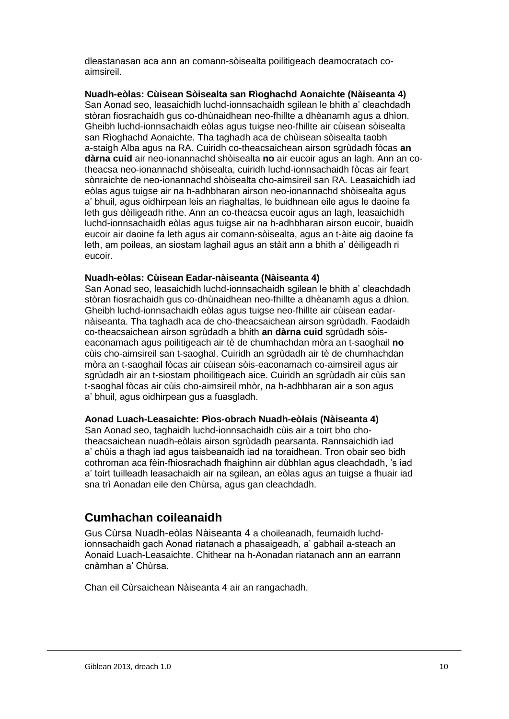dleastanasan aca ann an comann-sòisealta poilitigeach deamocratach coaimsireil.

**Nuadh-eòlas: Cùisean Sòisealta san Rìoghachd Aonaichte (Nàiseanta 4)**

San Aonad seo, leasaichidh luchd-ionnsachaidh sgilean le bhith a' cleachdadh stòran fiosrachaidh gus co-dhùnaidhean neo-fhillte a dhèanamh agus a dhìon. Gheibh luchd-ionnsachaidh eòlas agus tuigse neo-fhillte air cùisean sòisealta san Rìoghachd Aonaichte. Tha taghadh aca de chùisean sòisealta taobh a-staigh Alba agus na RA. Cuiridh co-theacsaichean airson sgrùdadh fòcas **an dàrna cuid** air neo-ionannachd shòisealta **no** air eucoir agus an lagh. Ann an cotheacsa neo-ionannachd shòisealta, cuiridh luchd-ionnsachaidh fòcas air feart sònraichte de neo-ionannachd shòisealta cho-aimsireil san RA. Leasaichidh iad eòlas agus tuigse air na h-adhbharan airson neo-ionannachd shòisealta agus a' bhuil, agus oidhirpean leis an riaghaltas, le buidhnean eile agus le daoine fa leth gus dèiligeadh rithe. Ann an co-theacsa eucoir agus an lagh, leasaichidh luchd-ionnsachaidh eòlas agus tuigse air na h-adhbharan airson eucoir, buaidh eucoir air daoine fa leth agus air comann-sòisealta, agus an t-àite aig daoine fa leth, am poileas, an siostam laghail agus an stàit ann a bhith a' dèiligeadh ri eucoir.

#### **Nuadh-eòlas: Cùisean Eadar-nàiseanta (Nàiseanta 4)**

San Aonad seo, leasaichidh luchd-ionnsachaidh sgilean le bhith a' cleachdadh stòran fiosrachaidh gus co-dhùnaidhean neo-fhillte a dhèanamh agus a dhìon. Gheibh luchd-ionnsachaidh eòlas agus tuigse neo-fhillte air cùisean eadarnàiseanta. Tha taghadh aca de cho-theacsaichean airson sgrùdadh. Faodaidh co-theacsaichean airson sgrùdadh a bhith **an dàrna cuid** sgrùdadh sòiseaconamach agus poilitigeach air tè de chumhachdan mòra an t-saoghail **no** cùis cho-aimsireil san t-saoghal. Cuiridh an sgrùdadh air tè de chumhachdan mòra an t-saoghail fòcas air cùisean sòis-eaconamach co-aimsireil agus air sgrùdadh air an t-siostam phoilitigeach aice. Cuiridh an sgrùdadh air cùis san t-saoghal fòcas air cùis cho-aimsireil mhòr, na h-adhbharan air a son agus a' bhuil, agus oidhirpean gus a fuasgladh.

#### **Aonad Luach-Leasaichte: Pìos-obrach Nuadh-eòlais (Nàiseanta 4)**

San Aonad seo, taghaidh luchd-ionnsachaidh cùis air a toirt bho chotheacsaichean nuadh-eòlais airson sgrùdadh pearsanta. Rannsaichidh iad a' chùis a thagh iad agus taisbeanaidh iad na toraidhean. Tron obair seo bidh cothroman aca fèin-fhiosrachadh fhaighinn air dùbhlan agus cleachdadh, 's iad a' toirt tuilleadh leasachaidh air na sgilean, an eòlas agus an tuigse a fhuair iad sna trì Aonadan eile den Chùrsa, agus gan cleachdadh.

### **Cumhachan coileanaidh**

Gus Cùrsa Nuadh-eòlas Nàiseanta 4 a choileanadh, feumaidh luchdionnsachaidh gach Aonad riatanach a phasaigeadh, a' gabhail a-steach an Aonaid Luach-Leasaichte. Chithear na h-Aonadan riatanach ann an earrann cnàmhan a' Chùrsa.

Chan eil Cùrsaichean Nàiseanta 4 air an rangachadh.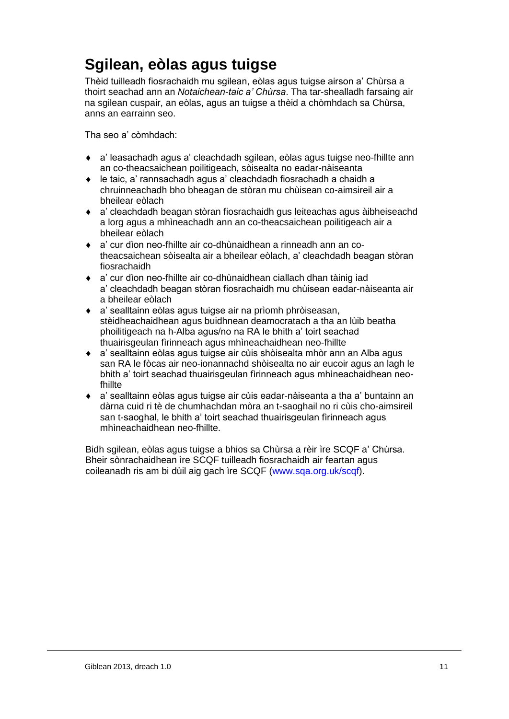# **Sgilean, eòlas agus tuigse**

Thèid tuilleadh fiosrachaidh mu sgilean, eòlas agus tuigse airson a' Chùrsa a thoirt seachad ann an *Notaichean-taic a' Chùrsa*. Tha tar-shealladh farsaing air na sgilean cuspair, an eòlas, agus an tuigse a thèid a chòmhdach sa Chùrsa, anns an earrainn seo.

Tha seo a' còmhdach:

- a' leasachadh agus a' cleachdadh sgilean, eòlas agus tuigse neo-fhillte ann an co-theacsaichean poilitigeach, sòisealta no eadar-nàiseanta
- le taic, a' rannsachadh agus a' cleachdadh fiosrachadh a chaidh a chruinneachadh bho bheagan de stòran mu chùisean co-aimsireil air a bheilear eòlach
- a' cleachdadh beagan stòran fiosrachaidh gus leiteachas agus àibheiseachd a lorg agus a mhìneachadh ann an co-theacsaichean poilitigeach air a bheilear eòlach
- a' cur dìon neo-fhillte air co-dhùnaidhean a rinneadh ann an cotheacsaichean sòisealta air a bheilear eòlach, a' cleachdadh beagan stòran fiosrachaidh
- a' cur dìon neo-fhillte air co-dhùnaidhean ciallach dhan tàinig iad a' cleachdadh beagan stòran fiosrachaidh mu chùisean eadar-nàiseanta air a bheilear eòlach
- a' sealltainn eòlas agus tuigse air na prìomh phròiseasan, stèidheachaidhean agus buidhnean deamocratach a tha an lùib beatha phoilitigeach na h-Alba agus/no na RA le bhith a' toirt seachad thuairisgeulan fìrinneach agus mhìneachaidhean neo-fhillte
- a' sealltainn eòlas agus tuigse air cùis shòisealta mhòr ann an Alba agus san RA le fòcas air neo-ionannachd shòisealta no air eucoir agus an lagh le bhith a' toirt seachad thuairisgeulan fìrinneach agus mhìneachaidhean neofhillte
- a' sealltainn eòlas agus tuigse air cùis eadar-nàiseanta a tha a' buntainn an dàrna cuid ri tè de chumhachdan mòra an t-saoghail no ri cùis cho-aimsireil san t-saoghal, le bhith a' toirt seachad thuairisgeulan fìrinneach agus mhìneachaidhean neo-fhillte.

Bidh sgilean, eòlas agus tuigse a bhios sa Chùrsa a rèir ìre SCQF a' Chùrsa. Bheir sònrachaidhean ìre SCQF tuilleadh fiosrachaidh air feartan agus coileanadh ris am bi dùil aig gach ìre SCQF [\(www.sqa.org.uk/scqf\)](http://www.sqa.org.uk/scqf).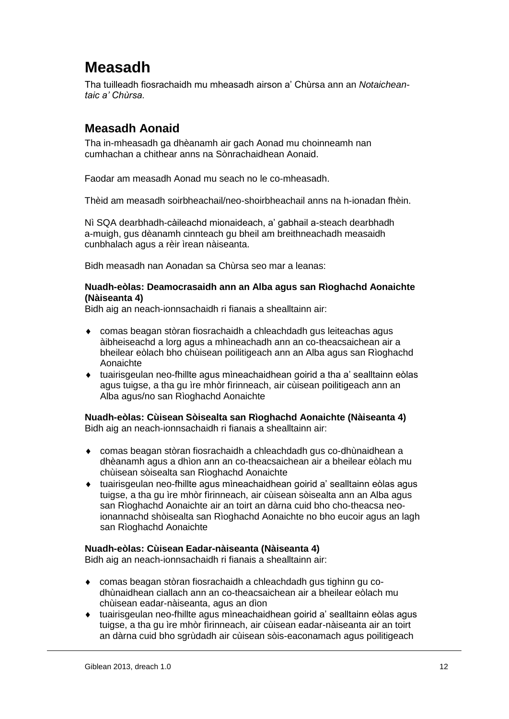# **Measadh**

Tha tuilleadh fiosrachaidh mu mheasadh airson a' Chùrsa ann an *Notaicheantaic a' Chùrsa.*

# **Measadh Aonaid**

Tha in-mheasadh ga dhèanamh air gach Aonad mu choinneamh nan cumhachan a chithear anns na Sònrachaidhean Aonaid.

Faodar am measadh Aonad mu seach no le co-mheasadh.

Thèid am measadh soirbheachail/neo-shoirbheachail anns na h-ionadan fhèin.

Nì SQA dearbhadh-càileachd mionaideach, a' gabhail a-steach dearbhadh a-muigh, gus dèanamh cinnteach gu bheil am breithneachadh measaidh cunbhalach agus a rèir ìrean nàiseanta.

Bidh measadh nan Aonadan sa Chùrsa seo mar a leanas:

#### **Nuadh-eòlas: Deamocrasaidh ann an Alba agus san Rìoghachd Aonaichte (Nàiseanta 4)**

Bidh aig an neach-ionnsachaidh ri fianais a shealltainn air:

- comas beagan stòran fiosrachaidh a chleachdadh gus leiteachas agus àibheiseachd a lorg agus a mhìneachadh ann an co-theacsaichean air a bheilear eòlach bho chùisean poilitigeach ann an Alba agus san Rìoghachd Aonaichte
- tuairisgeulan neo-fhillte agus mìneachaidhean goirid a tha a' sealltainn eòlas agus tuigse, a tha gu ìre mhòr fìrinneach, air cùisean poilitigeach ann an Alba agus/no san Rìoghachd Aonaichte

#### **Nuadh-eòlas: Cùisean Sòisealta san Rìoghachd Aonaichte (Nàiseanta 4)** Bidh aig an neach-ionnsachaidh ri fianais a shealltainn air:

- comas beagan stòran fiosrachaidh a chleachdadh gus co-dhùnaidhean a dhèanamh agus a dhìon ann an co-theacsaichean air a bheilear eòlach mu chùisean sòisealta san Rìoghachd Aonaichte
- tuairisgeulan neo-fhillte agus mìneachaidhean goirid a' sealltainn eòlas agus tuigse, a tha gu ìre mhòr fìrinneach, air cùisean sòisealta ann an Alba agus san Rìoghachd Aonaichte air an toirt an dàrna cuid bho cho-theacsa neoionannachd shòisealta san Rìoghachd Aonaichte no bho eucoir agus an lagh san Rìoghachd Aonaichte

#### **Nuadh-eòlas: Cùisean Eadar-nàiseanta (Nàiseanta 4)**

Bidh aig an neach-ionnsachaidh ri fianais a shealltainn air:

- comas beagan stòran fiosrachaidh a chleachdadh gus tighinn gu codhùnaidhean ciallach ann an co-theacsaichean air a bheilear eòlach mu chùisean eadar-nàiseanta, agus an dìon
- tuairisgeulan neo-fhillte agus mìneachaidhean goirid a' sealltainn eòlas agus tuigse, a tha gu ìre mhòr fìrinneach, air cùisean eadar-nàiseanta air an toirt an dàrna cuid bho sgrùdadh air cùisean sòis-eaconamach agus poilitigeach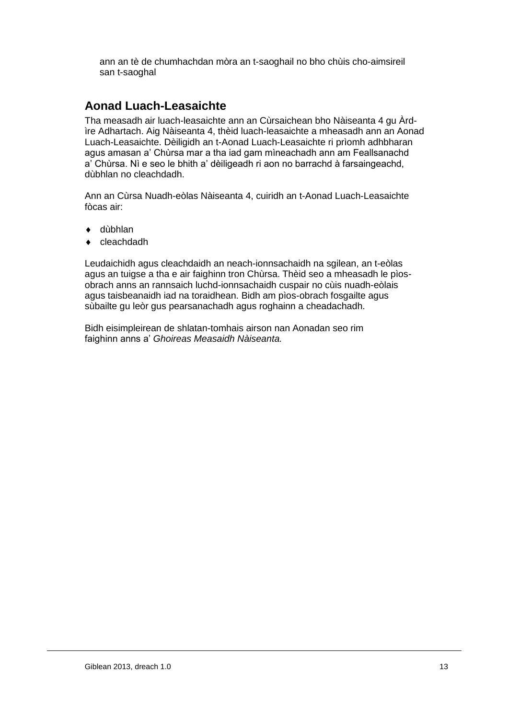ann an tè de chumhachdan mòra an t-saoghail no bho chùis cho-aimsireil san t-saoghal

### **Aonad Luach-Leasaichte**

Tha measadh air luach-leasaichte ann an Cùrsaichean bho Nàiseanta 4 gu Àrdìre Adhartach. Aig Nàiseanta 4, thèid luach-leasaichte a mheasadh ann an Aonad Luach-Leasaichte. Dèiligidh an t-Aonad Luach-Leasaichte ri prìomh adhbharan agus amasan a' Chùrsa mar a tha iad gam mìneachadh ann am Feallsanachd a' Chùrsa. Nì e seo le bhith a' dèiligeadh ri aon no barrachd à farsaingeachd, dùbhlan no cleachdadh.

Ann an Cùrsa Nuadh-eòlas Nàiseanta 4, cuiridh an t-Aonad Luach-Leasaichte fòcas air:

- dùbhlan
- cleachdadh

Leudaichidh agus cleachdaidh an neach-ionnsachaidh na sgilean, an t-eòlas agus an tuigse a tha e air faighinn tron Chùrsa. Thèid seo a mheasadh le pìosobrach anns an rannsaich luchd-ionnsachaidh cuspair no cùis nuadh-eòlais agus taisbeanaidh iad na toraidhean. Bidh am pìos-obrach fosgailte agus sùbailte gu leòr gus pearsanachadh agus roghainn a cheadachadh.

Bidh eisimpleirean de shlatan-tomhais airson nan Aonadan seo rim faighinn anns a' *Ghoireas Measaidh Nàiseanta.*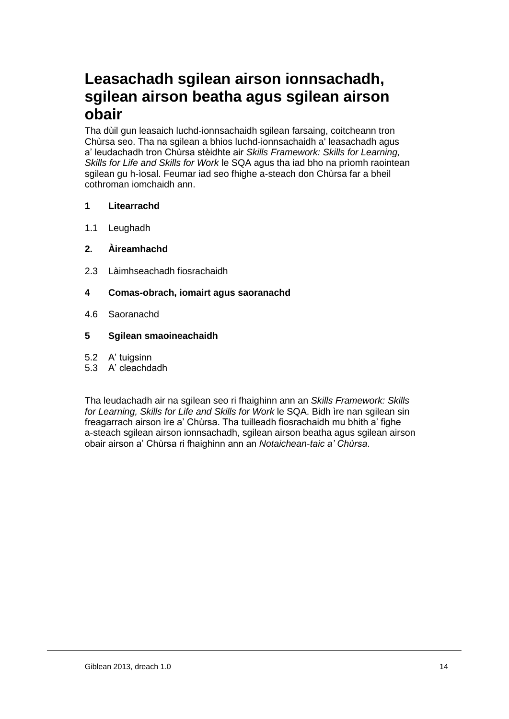# **Leasachadh sgilean airson ionnsachadh, sgilean airson beatha agus sgilean airson obair**

Tha dùil gun leasaich luchd-ionnsachaidh sgilean farsaing, coitcheann tron Chùrsa seo. Tha na sgilean a bhios luchd-ionnsachaidh a' leasachadh agus a' leudachadh tron Chùrsa stèidhte air *Skills Framework: Skills for Learning, Skills for Life and Skills for Work* le SQA agus tha iad bho na prìomh raointean sgilean gu h-ìosal. Feumar iad seo fhighe a-steach don Chùrsa far a bheil cothroman iomchaidh ann.

#### **1 Litearrachd**

1.1 Leughadh

#### **2. Àireamhachd**

2.3 Làimhseachadh fiosrachaidh

#### **4 Comas-obrach, iomairt agus saoranachd**

4.6 Saoranachd

#### **5 Sgilean smaoineachaidh**

- 5.2 A' tuigsinn
- 5.3 A' cleachdadh

Tha leudachadh air na sgilean seo ri fhaighinn ann an *Skills Framework: Skills for Learning, Skills for Life and Skills for Work* le SQA. Bidh ìre nan sgilean sin freagarrach airson ìre a' Chùrsa. Tha tuilleadh fiosrachaidh mu bhith a' fighe a-steach sgilean airson ionnsachadh, sgilean airson beatha agus sgilean airson obair airson a' Chùrsa ri fhaighinn ann an *Notaichean-taic a' Chùrsa*.